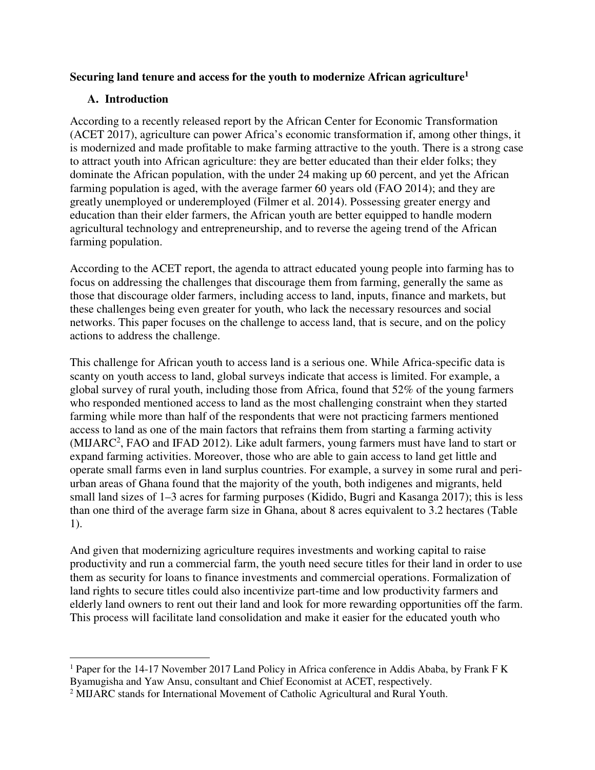# **Securing land tenure and access for the youth to modernize African agriculture<sup>1</sup>**

# **A. Introduction**

 $\overline{a}$ 

According to a recently released report by the African Center for Economic Transformation (ACET 2017), agriculture can power Africa's economic transformation if, among other things, it is modernized and made profitable to make farming attractive to the youth. There is a strong case to attract youth into African agriculture: they are better educated than their elder folks; they dominate the African population, with the under 24 making up 60 percent, and yet the African farming population is aged, with the average farmer 60 years old (FAO 2014); and they are greatly unemployed or underemployed (Filmer et al. 2014). Possessing greater energy and education than their elder farmers, the African youth are better equipped to handle modern agricultural technology and entrepreneurship, and to reverse the ageing trend of the African farming population.

According to the ACET report, the agenda to attract educated young people into farming has to focus on addressing the challenges that discourage them from farming, generally the same as those that discourage older farmers, including access to land, inputs, finance and markets, but these challenges being even greater for youth, who lack the necessary resources and social networks. This paper focuses on the challenge to access land, that is secure, and on the policy actions to address the challenge.

This challenge for African youth to access land is a serious one. While Africa-specific data is scanty on youth access to land, global surveys indicate that access is limited. For example, a global survey of rural youth, including those from Africa, found that 52% of the young farmers who responded mentioned access to land as the most challenging constraint when they started farming while more than half of the respondents that were not practicing farmers mentioned access to land as one of the main factors that refrains them from starting a farming activity (MIJARC<sup>2</sup>, FAO and IFAD 2012). Like adult farmers, young farmers must have land to start or expand farming activities. Moreover, those who are able to gain access to land get little and operate small farms even in land surplus countries. For example, a survey in some rural and periurban areas of Ghana found that the majority of the youth, both indigenes and migrants, held small land sizes of 1–3 acres for farming purposes (Kidido, Bugri and Kasanga 2017); this is less than one third of the average farm size in Ghana, about 8 acres equivalent to 3.2 hectares (Table 1).

And given that modernizing agriculture requires investments and working capital to raise productivity and run a commercial farm, the youth need secure titles for their land in order to use them as security for loans to finance investments and commercial operations. Formalization of land rights to secure titles could also incentivize part-time and low productivity farmers and elderly land owners to rent out their land and look for more rewarding opportunities off the farm. This process will facilitate land consolidation and make it easier for the educated youth who

<sup>&</sup>lt;sup>1</sup> Paper for the 14-17 November 2017 Land Policy in Africa conference in Addis Ababa, by Frank F K Byamugisha and Yaw Ansu, consultant and Chief Economist at ACET, respectively.

<sup>&</sup>lt;sup>2</sup> MIJARC stands for International Movement of Catholic Agricultural and Rural Youth.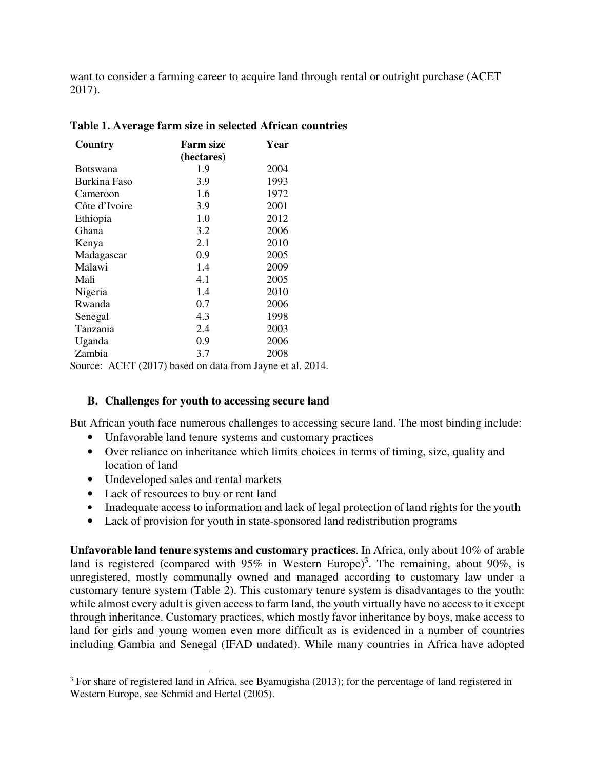want to consider a farming career to acquire land through rental or outright purchase (ACET 2017).

| Country                                                                     | <b>Farm size</b> | Year |  |
|-----------------------------------------------------------------------------|------------------|------|--|
|                                                                             | (hectares)       |      |  |
| <b>Botswana</b>                                                             | 1.9              | 2004 |  |
| Burkina Faso                                                                | 3.9              | 1993 |  |
| Cameroon                                                                    | 1.6              | 1972 |  |
| Côte d'Ivoire                                                               | 3.9              | 2001 |  |
| Ethiopia                                                                    | 1.0              | 2012 |  |
| Ghana                                                                       | 3.2              | 2006 |  |
| Kenya                                                                       | 2.1              | 2010 |  |
| Madagascar                                                                  | 0.9              | 2005 |  |
| Malawi                                                                      | 1.4              | 2009 |  |
| Mali                                                                        | 4.1              | 2005 |  |
| Nigeria                                                                     | 1.4              | 2010 |  |
| Rwanda                                                                      | 0.7              | 2006 |  |
| Senegal                                                                     | 4.3              | 1998 |  |
| Tanzania                                                                    | 2.4              | 2003 |  |
| Uganda                                                                      | 0.9              | 2006 |  |
| Zambia                                                                      | 3.7              | 2008 |  |
| $\text{Source: } \Lambda \text{ CFT}$ (2017) begad on data from Javna at al |                  |      |  |

Source: ACET (2017) based on data from Jayne et al. 2014.

# **B. Challenges for youth to accessing secure land**

But African youth face numerous challenges to accessing secure land. The most binding include:

- Unfavorable land tenure systems and customary practices
- Over reliance on inheritance which limits choices in terms of timing, size, quality and location of land
- Undeveloped sales and rental markets
- Lack of resources to buy or rent land

l

- Inadequate access to information and lack of legal protection of land rights for the youth
- Lack of provision for youth in state-sponsored land redistribution programs

**Unfavorable land tenure systems and customary practices**. In Africa, only about 10% of arable land is registered (compared with  $95\%$  in Western Europe)<sup>3</sup>. The remaining, about  $90\%$ , is unregistered, mostly communally owned and managed according to customary law under a customary tenure system (Table 2). This customary tenure system is disadvantages to the youth: while almost every adult is given access to farm land, the youth virtually have no access to it except through inheritance. Customary practices, which mostly favor inheritance by boys, make access to land for girls and young women even more difficult as is evidenced in a number of countries including Gambia and Senegal (IFAD undated). While many countries in Africa have adopted

 $3$  For share of registered land in Africa, see Byamugisha (2013); for the percentage of land registered in Western Europe, see Schmid and Hertel (2005).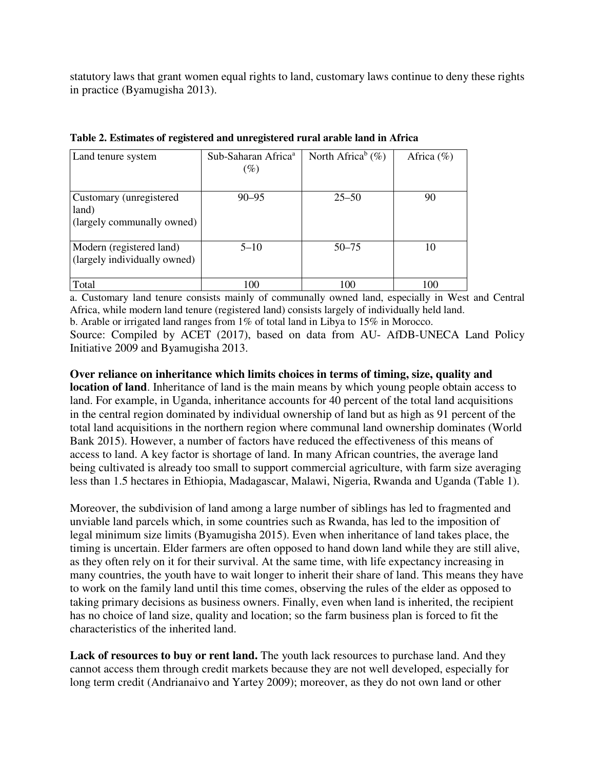statutory laws that grant women equal rights to land, customary laws continue to deny these rights in practice (Byamugisha 2013).

| Land tenure system                                              | Sub-Saharan Africa <sup>a</sup><br>$(\%)$ | North Africa <sup>b</sup> $(\%)$ | Africa $(\%)$ |
|-----------------------------------------------------------------|-------------------------------------------|----------------------------------|---------------|
| Customary (unregistered)<br>land)<br>(largely communally owned) | $90 - 95$                                 | $25 - 50$                        | 90            |
| Modern (registered land)<br>(largely individually owned)        | $5 - 10$                                  | $50 - 75$                        | 10            |
| Total                                                           | 100                                       | 100                              | 100           |

**Table 2. Estimates of registered and unregistered rural arable land in Africa** 

a. Customary land tenure consists mainly of communally owned land, especially in West and Central Africa, while modern land tenure (registered land) consists largely of individually held land.

b. Arable or irrigated land ranges from 1% of total land in Libya to 15% in Morocco.

Source: Compiled by ACET (2017), based on data from AU- AfDB-UNECA Land Policy Initiative 2009 and Byamugisha 2013.

**Over reliance on inheritance which limits choices in terms of timing, size, quality and** 

**location of land**. Inheritance of land is the main means by which young people obtain access to land. For example, in Uganda, inheritance accounts for 40 percent of the total land acquisitions in the central region dominated by individual ownership of land but as high as 91 percent of the total land acquisitions in the northern region where communal land ownership dominates (World Bank 2015). However, a number of factors have reduced the effectiveness of this means of access to land. A key factor is shortage of land. In many African countries, the average land being cultivated is already too small to support commercial agriculture, with farm size averaging less than 1.5 hectares in Ethiopia, Madagascar, Malawi, Nigeria, Rwanda and Uganda (Table 1).

Moreover, the subdivision of land among a large number of siblings has led to fragmented and unviable land parcels which, in some countries such as Rwanda, has led to the imposition of legal minimum size limits (Byamugisha 2015). Even when inheritance of land takes place, the timing is uncertain. Elder farmers are often opposed to hand down land while they are still alive, as they often rely on it for their survival. At the same time, with life expectancy increasing in many countries, the youth have to wait longer to inherit their share of land. This means they have to work on the family land until this time comes, observing the rules of the elder as opposed to taking primary decisions as business owners. Finally, even when land is inherited, the recipient has no choice of land size, quality and location; so the farm business plan is forced to fit the characteristics of the inherited land.

Lack of resources to buy or rent land. The youth lack resources to purchase land. And they cannot access them through credit markets because they are not well developed, especially for long term credit (Andrianaivo and Yartey 2009); moreover, as they do not own land or other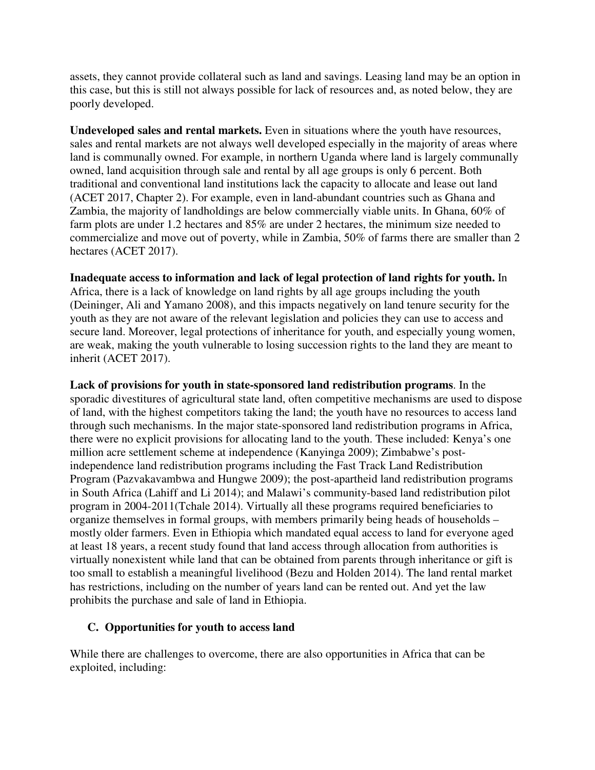assets, they cannot provide collateral such as land and savings. Leasing land may be an option in this case, but this is still not always possible for lack of resources and, as noted below, they are poorly developed.

**Undeveloped sales and rental markets.** Even in situations where the youth have resources, sales and rental markets are not always well developed especially in the majority of areas where land is communally owned. For example, in northern Uganda where land is largely communally owned, land acquisition through sale and rental by all age groups is only 6 percent. Both traditional and conventional land institutions lack the capacity to allocate and lease out land (ACET 2017, Chapter 2). For example, even in land-abundant countries such as Ghana and Zambia, the majority of landholdings are below commercially viable units. In Ghana, 60% of farm plots are under 1.2 hectares and 85% are under 2 hectares, the minimum size needed to commercialize and move out of poverty, while in Zambia, 50% of farms there are smaller than 2 hectares (ACET 2017).

**Inadequate access to information and lack of legal protection of land rights for youth.** In

Africa, there is a lack of knowledge on land rights by all age groups including the youth (Deininger, Ali and Yamano 2008), and this impacts negatively on land tenure security for the youth as they are not aware of the relevant legislation and policies they can use to access and secure land. Moreover, legal protections of inheritance for youth, and especially young women, are weak, making the youth vulnerable to losing succession rights to the land they are meant to inherit (ACET 2017).

**Lack of provisions for youth in state-sponsored land redistribution programs**. In the sporadic divestitures of agricultural state land, often competitive mechanisms are used to dispose of land, with the highest competitors taking the land; the youth have no resources to access land through such mechanisms. In the major state-sponsored land redistribution programs in Africa, there were no explicit provisions for allocating land to the youth. These included: Kenya's one million acre settlement scheme at independence (Kanyinga 2009); Zimbabwe's postindependence land redistribution programs including the Fast Track Land Redistribution Program (Pazvakavambwa and Hungwe 2009); the post-apartheid land redistribution programs in South Africa (Lahiff and Li 2014); and Malawi's community-based land redistribution pilot program in 2004-2011(Tchale 2014). Virtually all these programs required beneficiaries to organize themselves in formal groups, with members primarily being heads of households – mostly older farmers. Even in Ethiopia which mandated equal access to land for everyone aged at least 18 years, a recent study found that land access through allocation from authorities is virtually nonexistent while land that can be obtained from parents through inheritance or gift is too small to establish a meaningful livelihood (Bezu and Holden 2014). The land rental market has restrictions, including on the number of years land can be rented out. And yet the law prohibits the purchase and sale of land in Ethiopia.

# **C. Opportunities for youth to access land**

While there are challenges to overcome, there are also opportunities in Africa that can be exploited, including: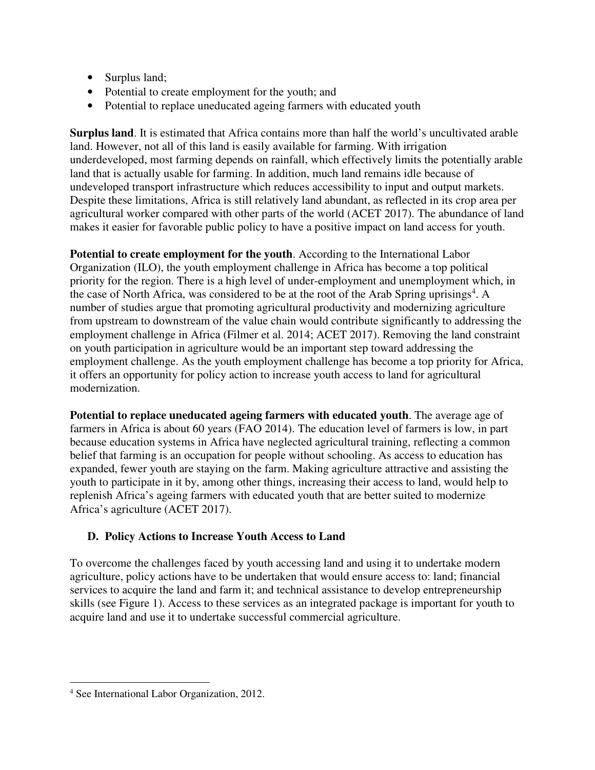- Surplus land;
- Potential to create employment for the youth; and
- Potential to replace uneducated ageing farmers with educated youth

**Surplus land**. It is estimated that Africa contains more than half the world's uncultivated arable land. However, not all of this land is easily available for farming. With irrigation underdeveloped, most farming depends on rainfall, which effectively limits the potentially arable land that is actually usable for farming. In addition, much land remains idle because of undeveloped transport infrastructure which reduces accessibility to input and output markets. Despite these limitations, Africa is still relatively land abundant, as reflected in its crop area per agricultural worker compared with other parts of the world (ACET 2017). The abundance of land makes it easier for favorable public policy to have a positive impact on land access for youth.

**Potential to create employment for the youth**. According to the International Labor Organization (ILO), the youth employment challenge in Africa has become a top political priority for the region. There is a high level of under-employment and unemployment which, in the case of North Africa, was considered to be at the root of the Arab Spring uprisings<sup>4</sup>. A number of studies argue that promoting agricultural productivity and modernizing agriculture from upstream to downstream of the value chain would contribute significantly to addressing the employment challenge in Africa (Filmer et al. 2014; ACET 2017). Removing the land constraint on youth participation in agriculture would be an important step toward addressing the employment challenge. As the youth employment challenge has become a top priority for Africa, it offers an opportunity for policy action to increase youth access to land for agricultural modernization.

**Potential to replace uneducated ageing farmers with educated youth**. The average age of farmers in Africa is about 60 years (FAO 2014). The education level of farmers is low, in part because education systems in Africa have neglected agricultural training, reflecting a common belief that farming is an occupation for people without schooling. As access to education has expanded, fewer youth are staying on the farm. Making agriculture attractive and assisting the youth to participate in it by, among other things, increasing their access to land, would help to replenish Africa's ageing farmers with educated youth that are better suited to modernize Africa's agriculture (ACET 2017).

# **D. Policy Actions to Increase Youth Access to Land**

To overcome the challenges faced by youth accessing land and using it to undertake modern agriculture, policy actions have to be undertaken that would ensure access to: land; financial services to acquire the land and farm it; and technical assistance to develop entrepreneurship skills (see Figure 1). Access to these services as an integrated package is important for youth to acquire land and use it to undertake successful commercial agriculture.

 $\overline{a}$ 

<sup>4</sup> See International Labor Organization, 2012.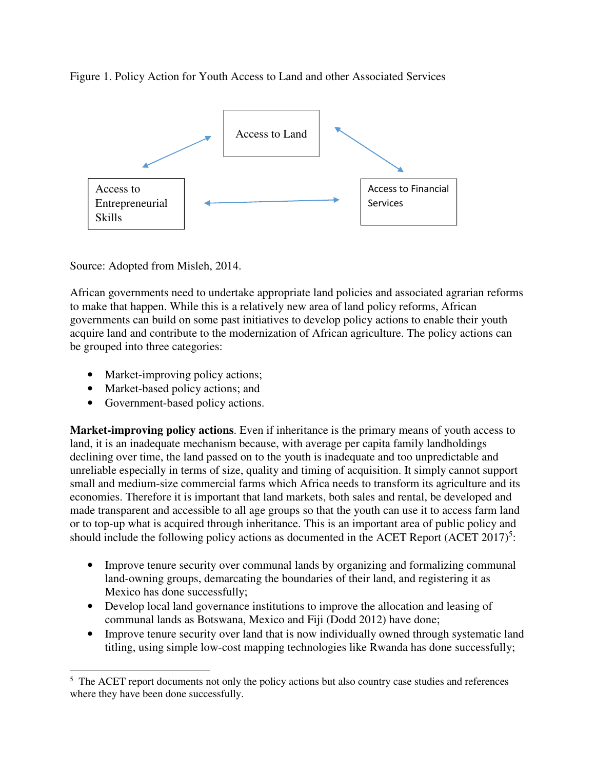Figure 1. Policy Action for Youth Access to Land and other Associated Services



Source: Adopted from Misleh, 2014.

African governments need to undertake appropriate land policies and associated agrarian reforms to make that happen. While this is a relatively new area of land policy reforms, African governments can build on some past initiatives to develop policy actions to enable their youth acquire land and contribute to the modernization of African agriculture. The policy actions can be grouped into three categories:

- Market-improving policy actions;
- Market-based policy actions; and
- Government-based policy actions.

 $\overline{a}$ 

**Market-improving policy actions**. Even if inheritance is the primary means of youth access to land, it is an inadequate mechanism because, with average per capita family landholdings declining over time, the land passed on to the youth is inadequate and too unpredictable and unreliable especially in terms of size, quality and timing of acquisition. It simply cannot support small and medium-size commercial farms which Africa needs to transform its agriculture and its economies. Therefore it is important that land markets, both sales and rental, be developed and made transparent and accessible to all age groups so that the youth can use it to access farm land or to top-up what is acquired through inheritance. This is an important area of public policy and should include the following policy actions as documented in the ACET Report  $(ACET 2017)^5$ :

- Improve tenure security over communal lands by organizing and formalizing communal land-owning groups, demarcating the boundaries of their land, and registering it as Mexico has done successfully;
- Develop local land governance institutions to improve the allocation and leasing of communal lands as Botswana, Mexico and Fiji (Dodd 2012) have done;
- Improve tenure security over land that is now individually owned through systematic land titling, using simple low-cost mapping technologies like Rwanda has done successfully;

<sup>&</sup>lt;sup>5</sup> The ACET report documents not only the policy actions but also country case studies and references where they have been done successfully.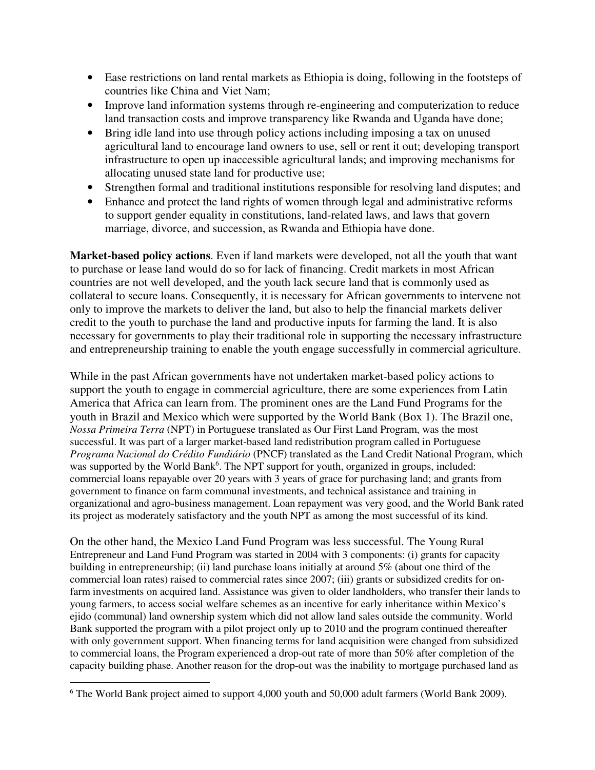- Ease restrictions on land rental markets as Ethiopia is doing, following in the footsteps of countries like China and Viet Nam;
- Improve land information systems through re-engineering and computerization to reduce land transaction costs and improve transparency like Rwanda and Uganda have done;
- Bring idle land into use through policy actions including imposing a tax on unused agricultural land to encourage land owners to use, sell or rent it out; developing transport infrastructure to open up inaccessible agricultural lands; and improving mechanisms for allocating unused state land for productive use;
- Strengthen formal and traditional institutions responsible for resolving land disputes; and
- Enhance and protect the land rights of women through legal and administrative reforms to support gender equality in constitutions, land-related laws, and laws that govern marriage, divorce, and succession, as Rwanda and Ethiopia have done.

**Market-based policy actions**. Even if land markets were developed, not all the youth that want to purchase or lease land would do so for lack of financing. Credit markets in most African countries are not well developed, and the youth lack secure land that is commonly used as collateral to secure loans. Consequently, it is necessary for African governments to intervene not only to improve the markets to deliver the land, but also to help the financial markets deliver credit to the youth to purchase the land and productive inputs for farming the land. It is also necessary for governments to play their traditional role in supporting the necessary infrastructure and entrepreneurship training to enable the youth engage successfully in commercial agriculture.

While in the past African governments have not undertaken market-based policy actions to support the youth to engage in commercial agriculture, there are some experiences from Latin America that Africa can learn from. The prominent ones are the Land Fund Programs for the youth in Brazil and Mexico which were supported by the World Bank (Box 1). The Brazil one, *Nossa Primeira Terra* (NPT) in Portuguese translated as Our First Land Program, was the most successful. It was part of a larger market-based land redistribution program called in Portuguese *Programa Nacional do Crédito Fundiário* (PNCF) translated as the Land Credit National Program, which was supported by the World Bank<sup>6</sup>. The NPT support for youth, organized in groups, included: commercial loans repayable over 20 years with 3 years of grace for purchasing land; and grants from government to finance on farm communal investments, and technical assistance and training in organizational and agro-business management. Loan repayment was very good, and the World Bank rated its project as moderately satisfactory and the youth NPT as among the most successful of its kind.

On the other hand, the Mexico Land Fund Program was less successful. The Young Rural Entrepreneur and Land Fund Program was started in 2004 with 3 components: (i) grants for capacity building in entrepreneurship; (ii) land purchase loans initially at around 5% (about one third of the commercial loan rates) raised to commercial rates since 2007; (iii) grants or subsidized credits for onfarm investments on acquired land. Assistance was given to older landholders, who transfer their lands to young farmers, to access social welfare schemes as an incentive for early inheritance within Mexico's ejido (communal) land ownership system which did not allow land sales outside the community. World Bank supported the program with a pilot project only up to 2010 and the program continued thereafter with only government support. When financing terms for land acquisition were changed from subsidized to commercial loans, the Program experienced a drop-out rate of more than 50% after completion of the capacity building phase. Another reason for the drop-out was the inability to mortgage purchased land as

 $\overline{a}$ 

<sup>&</sup>lt;sup>6</sup> The World Bank project aimed to support 4,000 youth and 50,000 adult farmers (World Bank 2009).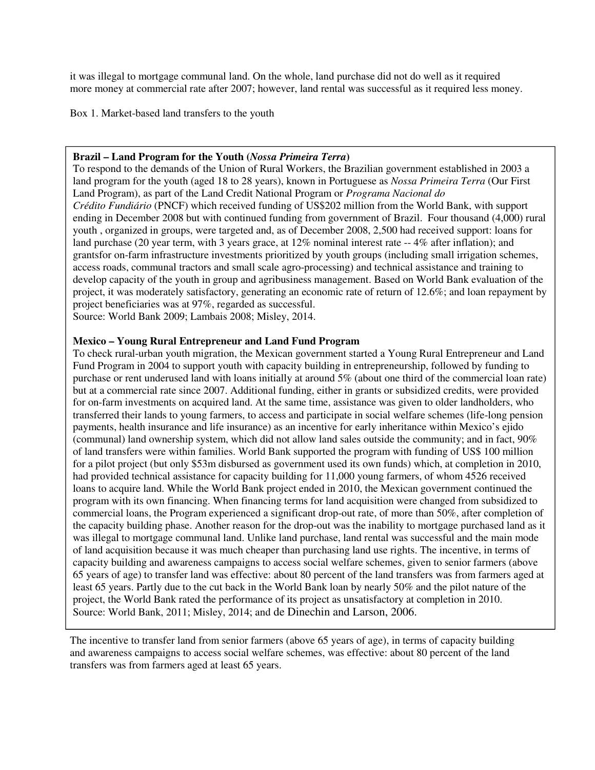it was illegal to mortgage communal land. On the whole, land purchase did not do well as it required more money at commercial rate after 2007; however, land rental was successful as it required less money.

Box 1. Market-based land transfers to the youth

#### **Brazil – Land Program for the Youth (***Nossa Primeira Terra***)**

To respond to the demands of the Union of Rural Workers, the Brazilian government established in 2003 a land program for the youth (aged 18 to 28 years), known in Portuguese as *Nossa Primeira Terra* (Our First Land Program), as part of the Land Credit National Program or *Programa Nacional do Crédito Fundiário* (PNCF) which received funding of US\$202 million from the World Bank, with support ending in December 2008 but with continued funding from government of Brazil. Four thousand (4,000) rural youth , organized in groups, were targeted and, as of December 2008, 2,500 had received support: loans for land purchase (20 year term, with 3 years grace, at 12% nominal interest rate  $-4\%$  after inflation); and grantsfor on-farm infrastructure investments prioritized by youth groups (including small irrigation schemes, access roads, communal tractors and small scale agro-processing) and technical assistance and training to develop capacity of the youth in group and agribusiness management. Based on World Bank evaluation of the project, it was moderately satisfactory, generating an economic rate of return of 12.6%; and loan repayment by project beneficiaries was at 97%, regarded as successful.

Source: World Bank 2009; Lambais 2008; Misley, 2014.

#### **Mexico – Young Rural Entrepreneur and Land Fund Program**

To check rural-urban youth migration, the Mexican government started a Young Rural Entrepreneur and Land Fund Program in 2004 to support youth with capacity building in entrepreneurship, followed by funding to purchase or rent underused land with loans initially at around 5% (about one third of the commercial loan rate) but at a commercial rate since 2007. Additional funding, either in grants or subsidized credits, were provided for on-farm investments on acquired land. At the same time, assistance was given to older landholders, who transferred their lands to young farmers, to access and participate in social welfare schemes (life-long pension payments, health insurance and life insurance) as an incentive for early inheritance within Mexico's ejido (communal) land ownership system, which did not allow land sales outside the community; and in fact, 90% of land transfers were within families. World Bank supported the program with funding of US\$ 100 million for a pilot project (but only \$53m disbursed as government used its own funds) which, at completion in 2010, had provided technical assistance for capacity building for 11,000 young farmers, of whom 4526 received loans to acquire land. While the World Bank project ended in 2010, the Mexican government continued the program with its own financing. When financing terms for land acquisition were changed from subsidized to commercial loans, the Program experienced a significant drop-out rate, of more than 50%, after completion of the capacity building phase. Another reason for the drop-out was the inability to mortgage purchased land as it was illegal to mortgage communal land. Unlike land purchase, land rental was successful and the main mode of land acquisition because it was much cheaper than purchasing land use rights. The incentive, in terms of capacity building and awareness campaigns to access social welfare schemes, given to senior farmers (above 65 years of age) to transfer land was effective: about 80 percent of the land transfers was from farmers aged at least 65 years. Partly due to the cut back in the World Bank loan by nearly 50% and the pilot nature of the project, the World Bank rated the performance of its project as unsatisfactory at completion in 2010. Source: World Bank, 2011; Misley, 2014; and de Dinechin and Larson, 2006.

The incentive to transfer land from senior farmers (above 65 years of age), in terms of capacity building and awareness campaigns to access social welfare schemes, was effective: about 80 percent of the land transfers was from farmers aged at least 65 years.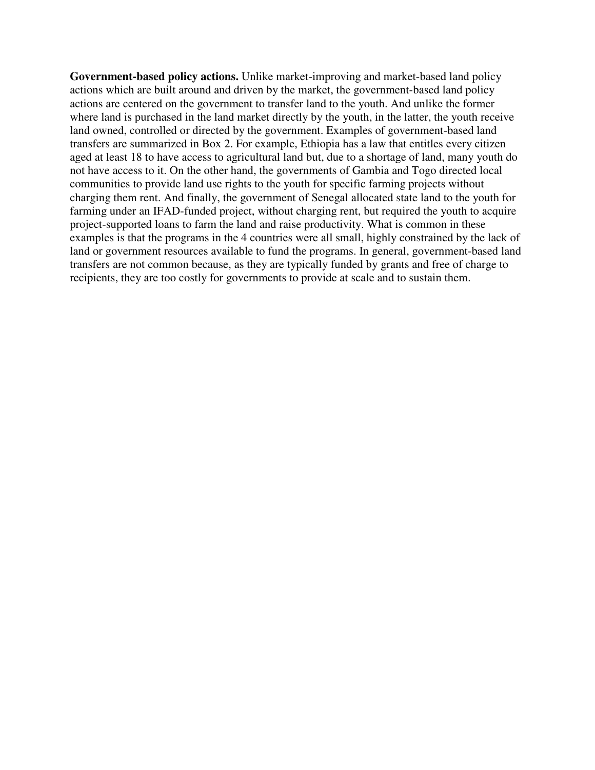Government-based policy actions. Unlike market-improving and market-based land policy actions which are built around and driven by the market, the government-based land policy actions are centered on the government to transfer land to the youth. And unlike the former where land is purchased in the land market directly by the youth, in the latter, the youth receive land owned, controlled or directed by the government. Examples of government-based land transfers are summarized in Box 2. For example, Ethiopia has a law that entitles every citizen aged at least 18 to have access to agricultural land but, due to a shortage of land, many youth do not have access to it. On the other hand, the governments of Gambia and Togo directed local communities to provide land use rights to the youth for specific farming projects without charging them rent. And finally, the government of Senegal allocated state land to the youth for farming under an IFAD-funded project, without charging rent, but required the youth to acquire project-supported loans to farm the land and raise productivity. What is common in these examples is that the programs in the 4 countries were all small, highly constrained by the lack of land or government resources available to fund the programs. In general, government-based land transfers are not common because, as they are typically funded by grants and free of charge to recipients, they are too costly for governments to provide at scale and to sustain them.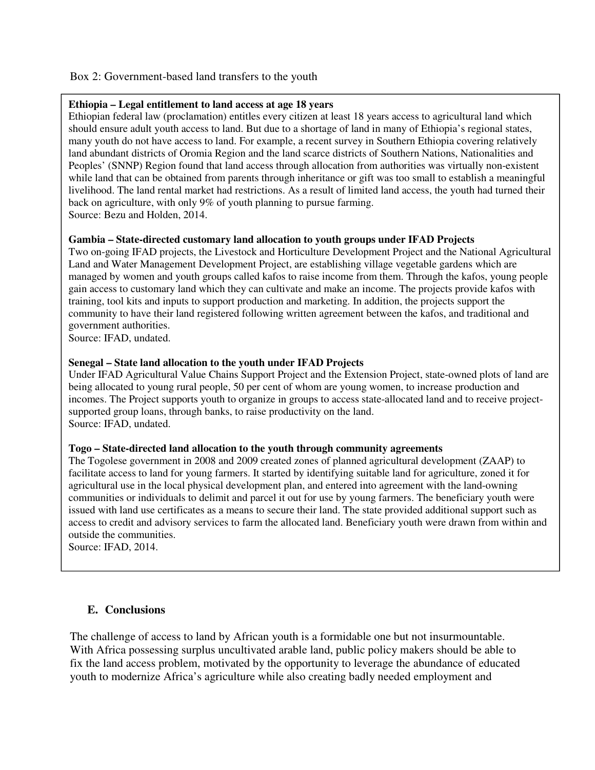## Box 2: Government-based land transfers to the youth

#### **Ethiopia – Legal entitlement to land access at age 18 years**

Ethiopian federal law (proclamation) entitles every citizen at least 18 years access to agricultural land which should ensure adult youth access to land. But due to a shortage of land in many of Ethiopia's regional states, many youth do not have access to land. For example, a recent survey in Southern Ethiopia covering relatively land abundant districts of Oromia Region and the land scarce districts of Southern Nations, Nationalities and Peoples' (SNNP) Region found that land access through allocation from authorities was virtually non-existent while land that can be obtained from parents through inheritance or gift was too small to establish a meaningful livelihood. The land rental market had restrictions. As a result of limited land access, the youth had turned their back on agriculture, with only 9% of youth planning to pursue farming. Source: Bezu and Holden, 2014.

## **Gambia – State-directed customary land allocation to youth groups under IFAD Projects**

Two on-going IFAD projects, the Livestock and Horticulture Development Project and the National Agricultural Land and Water Management Development Project, are establishing village vegetable gardens which are managed by women and youth groups called kafos to raise income from them. Through the kafos, young people gain access to customary land which they can cultivate and make an income. The projects provide kafos with training, tool kits and inputs to support production and marketing. In addition, the projects support the community to have their land registered following written agreement between the kafos, and traditional and government authorities.

Source: IFAD, undated.

## **Senegal – State land allocation to the youth under IFAD Projects**

Under IFAD Agricultural Value Chains Support Project and the Extension Project, state-owned plots of land are being allocated to young rural people, 50 per cent of whom are young women, to increase production and incomes. The Project supports youth to organize in groups to access state-allocated land and to receive projectsupported group loans, through banks, to raise productivity on the land. Source: IFAD, undated.

#### **Togo – State-directed land allocation to the youth through community agreements**

The Togolese government in 2008 and 2009 created zones of planned agricultural development (ZAAP) to facilitate access to land for young farmers. It started by identifying suitable land for agriculture, zoned it for agricultural use in the local physical development plan, and entered into agreement with the land-owning communities or individuals to delimit and parcel it out for use by young farmers. The beneficiary youth were issued with land use certificates as a means to secure their land. The state provided additional support such as access to credit and advisory services to farm the allocated land. Beneficiary youth were drawn from within and outside the communities.

Source: IFAD, 2014.

## **E. Conclusions**

The challenge of access to land by African youth is a formidable one but not insurmountable. With Africa possessing surplus uncultivated arable land, public policy makers should be able to fix the land access problem, motivated by the opportunity to leverage the abundance of educated youth to modernize Africa's agriculture while also creating badly needed employment and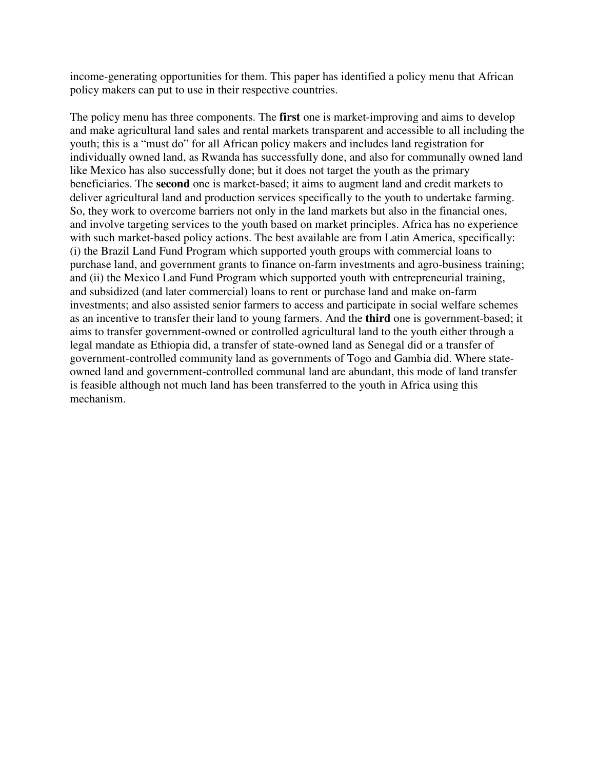income-generating opportunities for them. This paper has identified a policy menu that African policy makers can put to use in their respective countries.

The policy menu has three components. The **first** one is market-improving and aims to develop and make agricultural land sales and rental markets transparent and accessible to all including the youth; this is a "must do" for all African policy makers and includes land registration for individually owned land, as Rwanda has successfully done, and also for communally owned land like Mexico has also successfully done; but it does not target the youth as the primary beneficiaries. The **second** one is market-based; it aims to augment land and credit markets to deliver agricultural land and production services specifically to the youth to undertake farming. So, they work to overcome barriers not only in the land markets but also in the financial ones, and involve targeting services to the youth based on market principles. Africa has no experience with such market-based policy actions. The best available are from Latin America, specifically: (i) the Brazil Land Fund Program which supported youth groups with commercial loans to purchase land, and government grants to finance on-farm investments and agro-business training; and (ii) the Mexico Land Fund Program which supported youth with entrepreneurial training, and subsidized (and later commercial) loans to rent or purchase land and make on-farm investments; and also assisted senior farmers to access and participate in social welfare schemes as an incentive to transfer their land to young farmers. And the **third** one is government-based; it aims to transfer government-owned or controlled agricultural land to the youth either through a legal mandate as Ethiopia did, a transfer of state-owned land as Senegal did or a transfer of government-controlled community land as governments of Togo and Gambia did. Where stateowned land and government-controlled communal land are abundant, this mode of land transfer is feasible although not much land has been transferred to the youth in Africa using this mechanism.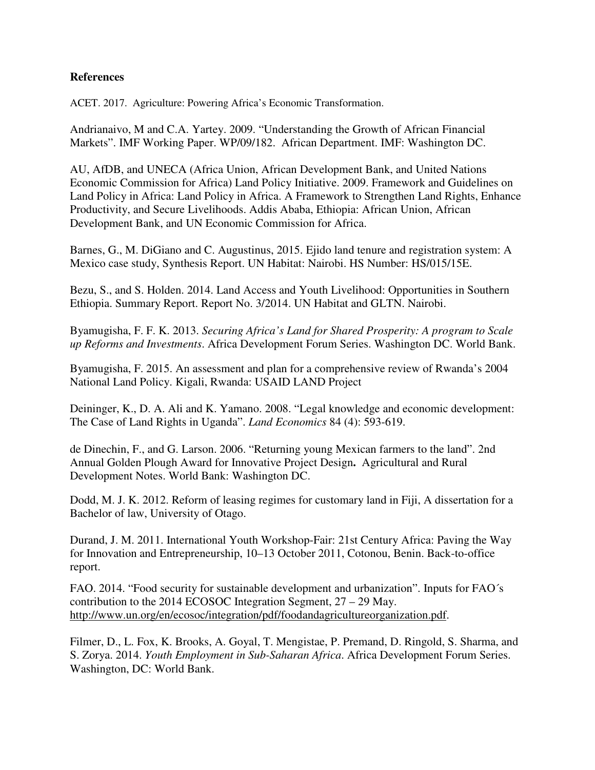## **References**

ACET. 2017. Agriculture: Powering Africa's Economic Transformation.

Andrianaivo, M and C.A. Yartey. 2009. "Understanding the Growth of African Financial Markets". IMF Working Paper. WP/09/182. African Department. IMF: Washington DC.

AU, AfDB, and UNECA (Africa Union, African Development Bank, and United Nations Economic Commission for Africa) Land Policy Initiative. 2009. Framework and Guidelines on Land Policy in Africa: Land Policy in Africa. A Framework to Strengthen Land Rights, Enhance Productivity, and Secure Livelihoods. Addis Ababa, Ethiopia: African Union, African Development Bank, and UN Economic Commission for Africa.

Barnes, G., M. DiGiano and C. Augustinus, 2015. Ejido land tenure and registration system: A Mexico case study, Synthesis Report. UN Habitat: Nairobi. HS Number: HS/015/15E.

Bezu, S., and S. Holden. 2014. Land Access and Youth Livelihood: Opportunities in Southern Ethiopia. Summary Report. Report No. 3/2014. UN Habitat and GLTN. Nairobi.

Byamugisha, F. F. K. 2013. *Securing Africa's Land for Shared Prosperity: A program to Scale up Reforms and Investments*. Africa Development Forum Series. Washington DC. World Bank.

Byamugisha, F. 2015. An assessment and plan for a comprehensive review of Rwanda's 2004 National Land Policy. Kigali, Rwanda: USAID LAND Project

Deininger, K., D. A. Ali and K. Yamano. 2008. "Legal knowledge and economic development: The Case of Land Rights in Uganda". *Land Economics* 84 (4): 593-619.

de Dinechin, F., and G. Larson. 2006. "Returning young Mexican farmers to the land". 2nd Annual Golden Plough Award for Innovative Project Design**.** Agricultural and Rural Development Notes. World Bank: Washington DC.

Dodd, M. J. K. 2012. Reform of leasing regimes for customary land in Fiji, A dissertation for a Bachelor of law, University of Otago.

Durand, J. M. 2011. International Youth Workshop-Fair: 21st Century Africa: Paving the Way for Innovation and Entrepreneurship, 10–13 October 2011, Cotonou, Benin. Back-to-office report.

FAO. 2014. "Food security for sustainable development and urbanization". Inputs for FAO´s contribution to the 2014 ECOSOC Integration Segment, 27 – 29 May. http://www.un.org/en/ecosoc/integration/pdf/foodandagricultureorganization.pdf.

Filmer, D., L. Fox, K. Brooks, A. Goyal, T. Mengistae, P. Premand, D. Ringold, S. Sharma, and S. Zorya. 2014. *Youth Employment in Sub-Saharan Africa*. Africa Development Forum Series. Washington, DC: World Bank.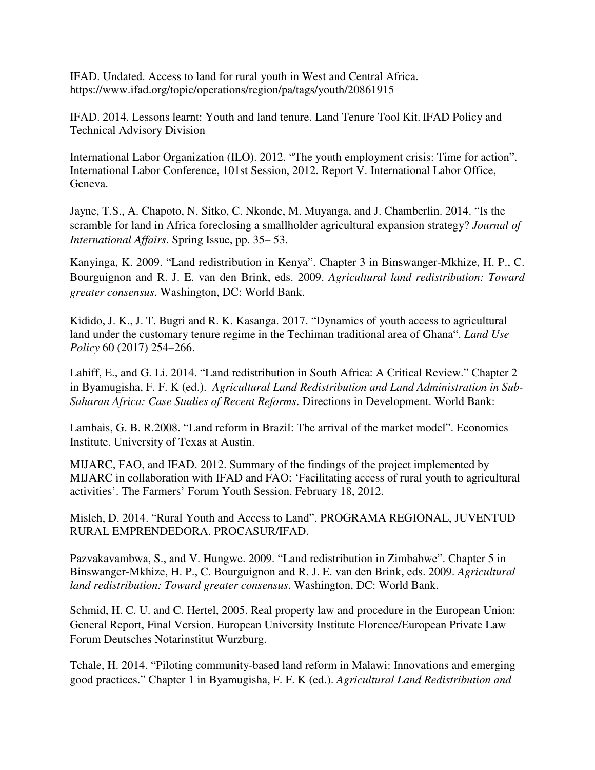IFAD. Undated. Access to land for rural youth in West and Central Africa. https://www.ifad.org/topic/operations/region/pa/tags/youth/20861915

IFAD. 2014. Lessons learnt: Youth and land tenure. Land Tenure Tool Kit. IFAD Policy and Technical Advisory Division

International Labor Organization (ILO). 2012. "The youth employment crisis: Time for action". International Labor Conference, 101st Session, 2012. Report V. International Labor Office, Geneva.

Jayne, T.S., A. Chapoto, N. Sitko, C. Nkonde, M. Muyanga, and J. Chamberlin. 2014. "Is the scramble for land in Africa foreclosing a smallholder agricultural expansion strategy? *Journal of International Affairs*. Spring Issue, pp. 35– 53.

Kanyinga, K. 2009. "Land redistribution in Kenya". Chapter 3 in Binswanger-Mkhize, H. P., C. Bourguignon and R. J. E. van den Brink, eds. 2009. *Agricultural land redistribution: Toward greater consensus*. Washington, DC: World Bank.

Kidido, J. K., J. T. Bugri and R. K. Kasanga. 2017. "Dynamics of youth access to agricultural land under the customary tenure regime in the Techiman traditional area of Ghana". *Land Use Policy* 60 (2017) 254–266.

Lahiff, E., and G. Li. 2014. "Land redistribution in South Africa: A Critical Review." Chapter 2 in Byamugisha, F. F. K (ed.). *Agricultural Land Redistribution and Land Administration in Sub-Saharan Africa: Case Studies of Recent Reforms*. Directions in Development. World Bank:

Lambais, G. B. R.2008. "Land reform in Brazil: The arrival of the market model". Economics Institute. University of Texas at Austin.

MIJARC, FAO, and IFAD. 2012. Summary of the findings of the project implemented by MIJARC in collaboration with IFAD and FAO: 'Facilitating access of rural youth to agricultural activities'. The Farmers' Forum Youth Session. February 18, 2012.

Misleh, D. 2014. "Rural Youth and Access to Land". PROGRAMA REGIONAL, JUVENTUD RURAL EMPRENDEDORA. PROCASUR/IFAD.

Pazvakavambwa, S., and V. Hungwe. 2009. "Land redistribution in Zimbabwe". Chapter 5 in Binswanger-Mkhize, H. P., C. Bourguignon and R. J. E. van den Brink, eds. 2009. *Agricultural land redistribution: Toward greater consensus*. Washington, DC: World Bank.

Schmid, H. C. U. and C. Hertel, 2005. Real property law and procedure in the European Union: General Report, Final Version. European University Institute Florence/European Private Law Forum Deutsches Notarinstitut Wurzburg.

Tchale, H. 2014. "Piloting community-based land reform in Malawi: Innovations and emerging good practices." Chapter 1 in Byamugisha, F. F. K (ed.). *Agricultural Land Redistribution and*